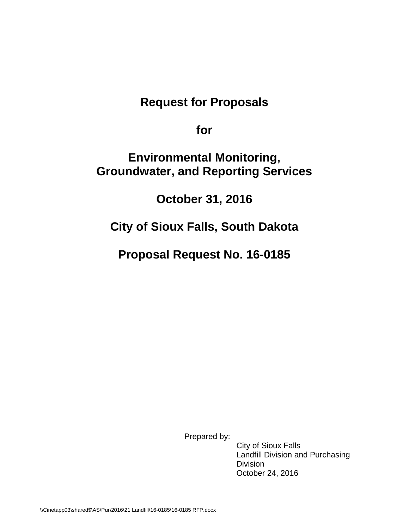# **Request for Proposals**

**for** 

# **Environmental Monitoring, Groundwater, and Reporting Services**

**October 31, 2016**

# **City of Sioux Falls, South Dakota**

**Proposal Request No. 16-0185**

Prepared by:

City of Sioux Falls Landfill Division and Purchasing **Division** October 24, 2016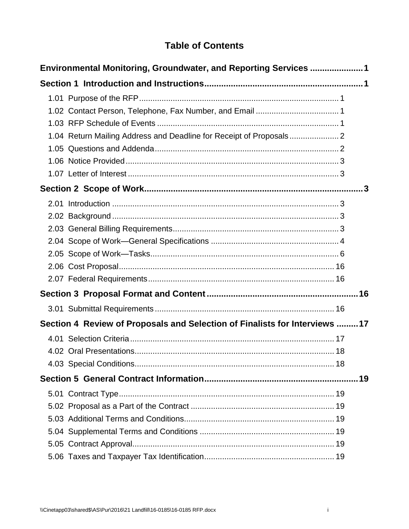# **Table of Contents**

| Environmental Monitoring, Groundwater, and Reporting Services 1 |                                                                            |    |  |  |
|-----------------------------------------------------------------|----------------------------------------------------------------------------|----|--|--|
|                                                                 |                                                                            |    |  |  |
|                                                                 |                                                                            |    |  |  |
|                                                                 |                                                                            |    |  |  |
|                                                                 |                                                                            |    |  |  |
|                                                                 | 1.04 Return Mailing Address and Deadline for Receipt of Proposals 2        |    |  |  |
|                                                                 |                                                                            |    |  |  |
|                                                                 |                                                                            |    |  |  |
|                                                                 |                                                                            |    |  |  |
|                                                                 |                                                                            |    |  |  |
|                                                                 |                                                                            |    |  |  |
|                                                                 |                                                                            |    |  |  |
|                                                                 |                                                                            |    |  |  |
|                                                                 |                                                                            |    |  |  |
|                                                                 |                                                                            |    |  |  |
|                                                                 |                                                                            |    |  |  |
|                                                                 |                                                                            |    |  |  |
|                                                                 |                                                                            |    |  |  |
|                                                                 |                                                                            |    |  |  |
|                                                                 | Section 4 Review of Proposals and Selection of Finalists for Interviews 17 |    |  |  |
|                                                                 |                                                                            |    |  |  |
|                                                                 |                                                                            |    |  |  |
|                                                                 |                                                                            |    |  |  |
|                                                                 |                                                                            | 19 |  |  |
|                                                                 |                                                                            |    |  |  |
|                                                                 |                                                                            |    |  |  |
|                                                                 |                                                                            |    |  |  |
|                                                                 |                                                                            |    |  |  |
|                                                                 |                                                                            |    |  |  |
|                                                                 |                                                                            |    |  |  |
|                                                                 |                                                                            |    |  |  |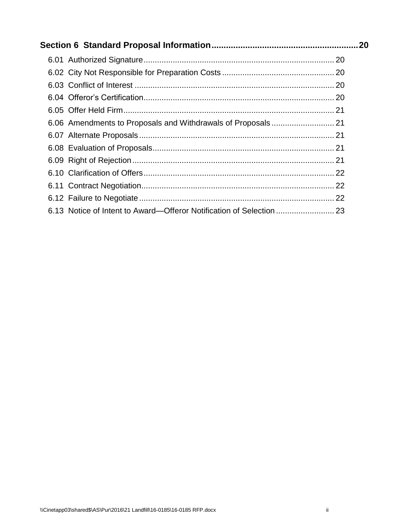| 6.13 Notice of Intent to Award—Offeror Notification of Selection |  |
|------------------------------------------------------------------|--|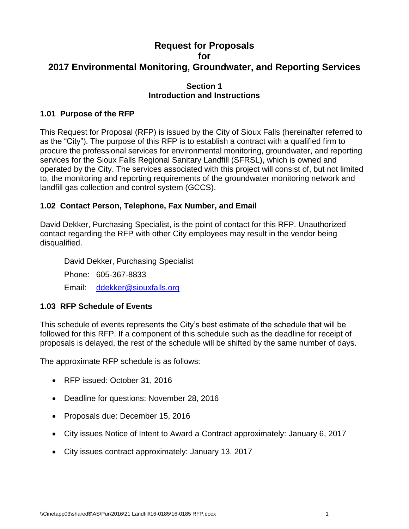# **Request for Proposals for 2017 Environmental Monitoring, Groundwater, and Reporting Services**

# **Section 1 Introduction and Instructions**

# <span id="page-3-1"></span><span id="page-3-0"></span>**1.01 Purpose of the RFP**

This Request for Proposal (RFP) is issued by the City of Sioux Falls (hereinafter referred to as the "City"). The purpose of this RFP is to establish a contract with a qualified firm to procure the professional services for environmental monitoring, groundwater, and reporting services for the Sioux Falls Regional Sanitary Landfill (SFRSL), which is owned and operated by the City. The services associated with this project will consist of, but not limited to, the monitoring and reporting requirements of the groundwater monitoring network and landfill gas collection and control system (GCCS).

# <span id="page-3-2"></span>**1.02 Contact Person, Telephone, Fax Number, and Email**

David Dekker, Purchasing Specialist, is the point of contact for this RFP. Unauthorized contact regarding the RFP with other City employees may result in the vendor being disqualified.

David Dekker, Purchasing Specialist Phone: 605-367-8833 Email: [ddekker@siouxfalls.org](mailto:srust@siouxfalls.org)

# <span id="page-3-3"></span>**1.03 RFP Schedule of Events**

This schedule of events represents the City's best estimate of the schedule that will be followed for this RFP. If a component of this schedule such as the deadline for receipt of proposals is delayed, the rest of the schedule will be shifted by the same number of days.

The approximate RFP schedule is as follows:

- RFP issued: October 31, 2016
- Deadline for questions: November 28, 2016
- Proposals due: December 15, 2016
- City issues Notice of Intent to Award a Contract approximately: January 6, 2017
- City issues contract approximately: January 13, 2017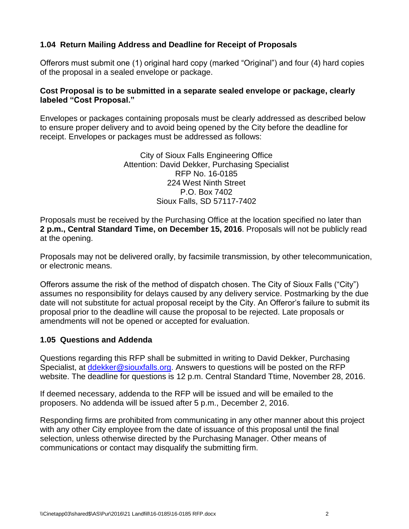# <span id="page-4-0"></span>**1.04 Return Mailing Address and Deadline for Receipt of Proposals**

Offerors must submit one (1) original hard copy (marked "Original") and four (4) hard copies of the proposal in a sealed envelope or package.

### **Cost Proposal is to be submitted in a separate sealed envelope or package, clearly labeled "Cost Proposal."**

Envelopes or packages containing proposals must be clearly addressed as described below to ensure proper delivery and to avoid being opened by the City before the deadline for receipt. Envelopes or packages must be addressed as follows:

> City of Sioux Falls Engineering Office Attention: David Dekker, Purchasing Specialist RFP No. 16-0185 224 West Ninth Street P.O. Box 7402 Sioux Falls, SD 57117-7402

Proposals must be received by the Purchasing Office at the location specified no later than **2 p.m., Central Standard Time, on December 15, 2016**. Proposals will not be publicly read at the opening.

Proposals may not be delivered orally, by facsimile transmission, by other telecommunication, or electronic means.

Offerors assume the risk of the method of dispatch chosen. The City of Sioux Falls ("City") assumes no responsibility for delays caused by any delivery service. Postmarking by the due date will not substitute for actual proposal receipt by the City. An Offeror's failure to submit its proposal prior to the deadline will cause the proposal to be rejected. Late proposals or amendments will not be opened or accepted for evaluation.

### <span id="page-4-1"></span>**1.05 Questions and Addenda**

Questions regarding this RFP shall be submitted in writing to David Dekker, Purchasing Specialist, at ddekker@siouxfalls.org. Answers to questions will be posted on the RFP website. The deadline for questions is 12 p.m. Central Standard Ttime, November 28, 2016.

If deemed necessary, addenda to the RFP will be issued and will be emailed to the proposers. No addenda will be issued after 5 p.m., December 2, 2016.

Responding firms are prohibited from communicating in any other manner about this project with any other City employee from the date of issuance of this proposal until the final selection, unless otherwise directed by the Purchasing Manager. Other means of communications or contact may disqualify the submitting firm.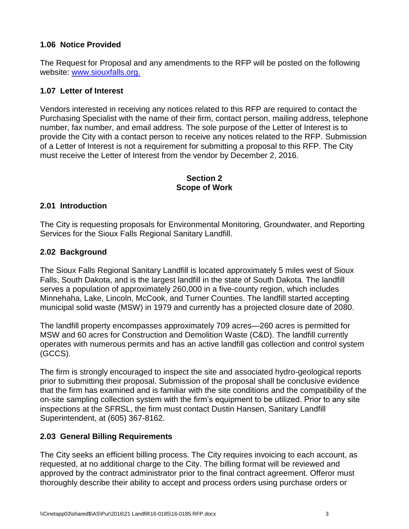# <span id="page-5-0"></span>**1.06 Notice Provided**

The Request for Proposal and any amendments to the RFP will be posted on the following website: [www.siouxfalls.org.](http://www.siouxfalls.org/)

# <span id="page-5-1"></span>**1.07 Letter of Interest**

Vendors interested in receiving any notices related to this RFP are required to contact the Purchasing Specialist with the name of their firm, contact person, mailing address, telephone number, fax number, and email address. The sole purpose of the Letter of Interest is to provide the City with a contact person to receive any notices related to the RFP. Submission of a Letter of Interest is not a requirement for submitting a proposal to this RFP. The City must receive the Letter of Interest from the vendor by December 2, 2016.

#### **Section 2 Scope of Work**

### <span id="page-5-3"></span><span id="page-5-2"></span>**2.01 Introduction**

The City is requesting proposals for Environmental Monitoring, Groundwater, and Reporting Services for the Sioux Falls Regional Sanitary Landfill.

### <span id="page-5-4"></span>**2.02 Background**

The Sioux Falls Regional Sanitary Landfill is located approximately 5 miles west of Sioux Falls, South Dakota, and is the largest landfill in the state of South Dakota. The landfill serves a population of approximately 260,000 in a five-county region, which includes Minnehaha, Lake, Lincoln, McCook, and Turner Counties. The landfill started accepting municipal solid waste (MSW) in 1979 and currently has a projected closure date of 2080.

The landfill property encompasses approximately 709 acres—260 acres is permitted for MSW and 60 acres for Construction and Demolition Waste (C&D). The landfill currently operates with numerous permits and has an active landfill gas collection and control system (GCCS).

The firm is strongly encouraged to inspect the site and associated hydro-geological reports prior to submitting their proposal. Submission of the proposal shall be conclusive evidence that the firm has examined and is familiar with the site conditions and the compatibility of the on-site sampling collection system with the firm's equipment to be utilized. Prior to any site inspections at the SFRSL, the firm must contact Dustin Hansen, Sanitary Landfill Superintendent, at (605) 367-8162.

### <span id="page-5-5"></span>**2.03 General Billing Requirements**

The City seeks an efficient billing process. The City requires invoicing to each account, as requested, at no additional charge to the City. The billing format will be reviewed and approved by the contract administrator prior to the final contract agreement. Offeror must thoroughly describe their ability to accept and process orders using purchase orders or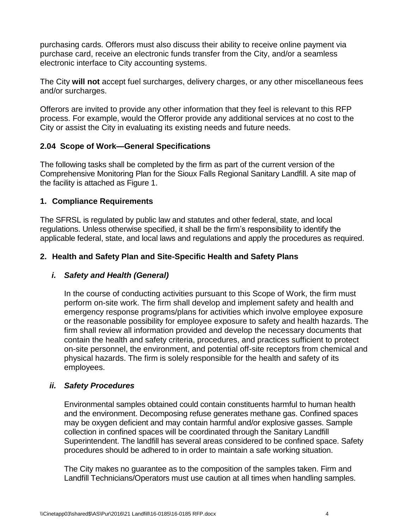purchasing cards. Offerors must also discuss their ability to receive online payment via purchase card, receive an electronic funds transfer from the City, and/or a seamless electronic interface to City accounting systems.

The City **will not** accept fuel surcharges, delivery charges, or any other miscellaneous fees and/or surcharges.

Offerors are invited to provide any other information that they feel is relevant to this RFP process. For example, would the Offeror provide any additional services at no cost to the City or assist the City in evaluating its existing needs and future needs.

# <span id="page-6-0"></span>**2.04 Scope of Work—General Specifications**

The following tasks shall be completed by the firm as part of the current version of the Comprehensive Monitoring Plan for the Sioux Falls Regional Sanitary Landfill. A site map of the facility is attached as Figure 1.

# **1. Compliance Requirements**

The SFRSL is regulated by public law and statutes and other federal, state, and local regulations. Unless otherwise specified, it shall be the firm's responsibility to identify the applicable federal, state, and local laws and regulations and apply the procedures as required.

# **2. Health and Safety Plan and Site-Specific Health and Safety Plans**

### *i. Safety and Health (General)*

In the course of conducting activities pursuant to this Scope of Work, the firm must perform on-site work. The firm shall develop and implement safety and health and emergency response programs/plans for activities which involve employee exposure or the reasonable possibility for employee exposure to safety and health hazards. The firm shall review all information provided and develop the necessary documents that contain the health and safety criteria, procedures, and practices sufficient to protect on-site personnel, the environment, and potential off-site receptors from chemical and physical hazards. The firm is solely responsible for the health and safety of its employees.

### *ii. Safety Procedures*

Environmental samples obtained could contain constituents harmful to human health and the environment. Decomposing refuse generates methane gas. Confined spaces may be oxygen deficient and may contain harmful and/or explosive gasses. Sample collection in confined spaces will be coordinated through the Sanitary Landfill Superintendent. The landfill has several areas considered to be confined space. Safety procedures should be adhered to in order to maintain a safe working situation.

The City makes no guarantee as to the composition of the samples taken. Firm and Landfill Technicians/Operators must use caution at all times when handling samples.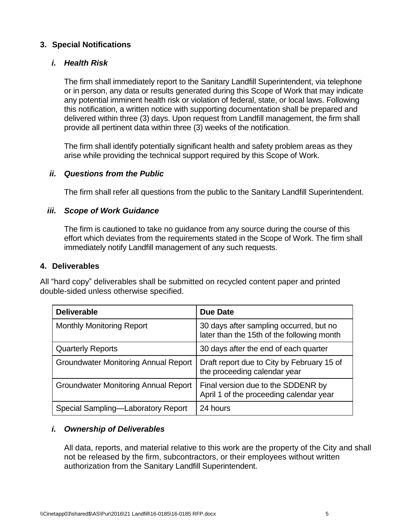## **3. Special Notifications**

## *i. Health Risk*

The firm shall immediately report to the Sanitary Landfill Superintendent, via telephone or in person, any data or results generated during this Scope of Work that may indicate any potential imminent health risk or violation of federal, state, or local laws. Following this notification, a written notice with supporting documentation shall be prepared and delivered within three (3) days. Upon request from Landfill management, the firm shall provide all pertinent data within three (3) weeks of the notification.

The firm shall identify potentially significant health and safety problem areas as they arise while providing the technical support required by this Scope of Work.

# *ii. Questions from the Public*

The firm shall refer all questions from the public to the Sanitary Landfill Superintendent.

# *iii. Scope of Work Guidance*

The firm is cautioned to take no guidance from any source during the course of this effort which deviates from the requirements stated in the Scope of Work. The firm shall immediately notify Landfill management of any such requests.

### **4. Deliverables**

All "hard copy" deliverables shall be submitted on recycled content paper and printed double-sided unless otherwise specified.

| <b>Deliverable</b>                          | <b>Due Date</b>                                                                       |
|---------------------------------------------|---------------------------------------------------------------------------------------|
| <b>Monthly Monitoring Report</b>            | 30 days after sampling occurred, but no<br>later than the 15th of the following month |
| <b>Quarterly Reports</b>                    | 30 days after the end of each quarter                                                 |
| <b>Groundwater Monitoring Annual Report</b> | Draft report due to City by February 15 of<br>the proceeding calendar year            |
| <b>Groundwater Monitoring Annual Report</b> | Final version due to the SDDENR by<br>April 1 of the proceeding calendar year         |
| Special Sampling-Laboratory Report          | 24 hours                                                                              |

# *i. Ownership of Deliverables*

All data, reports, and material relative to this work are the property of the City and shall not be released by the firm, subcontractors, or their employees without written authorization from the Sanitary Landfill Superintendent.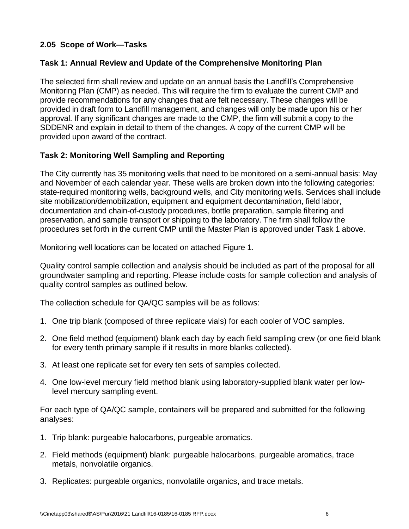# <span id="page-8-0"></span>**2.05 Scope of Work—Tasks**

# **Task 1: Annual Review and Update of the Comprehensive Monitoring Plan**

The selected firm shall review and update on an annual basis the Landfill's Comprehensive Monitoring Plan (CMP) as needed. This will require the firm to evaluate the current CMP and provide recommendations for any changes that are felt necessary. These changes will be provided in draft form to Landfill management, and changes will only be made upon his or her approval. If any significant changes are made to the CMP, the firm will submit a copy to the SDDENR and explain in detail to them of the changes. A copy of the current CMP will be provided upon award of the contract.

### **Task 2: Monitoring Well Sampling and Reporting**

The City currently has 35 monitoring wells that need to be monitored on a semi-annual basis: May and November of each calendar year. These wells are broken down into the following categories: state-required monitoring wells, background wells, and City monitoring wells. Services shall include site mobilization/demobilization, equipment and equipment decontamination, field labor, documentation and chain-of-custody procedures, bottle preparation, sample filtering and preservation, and sample transport or shipping to the laboratory. The firm shall follow the procedures set forth in the current CMP until the Master Plan is approved under Task 1 above.

Monitoring well locations can be located on attached Figure 1.

Quality control sample collection and analysis should be included as part of the proposal for all groundwater sampling and reporting. Please include costs for sample collection and analysis of quality control samples as outlined below.

The collection schedule for QA/QC samples will be as follows:

- 1. One trip blank (composed of three replicate vials) for each cooler of VOC samples.
- 2. One field method (equipment) blank each day by each field sampling crew (or one field blank for every tenth primary sample if it results in more blanks collected).
- 3. At least one replicate set for every ten sets of samples collected.
- 4. One low-level mercury field method blank using laboratory-supplied blank water per lowlevel mercury sampling event.

For each type of QA/QC sample, containers will be prepared and submitted for the following analyses:

- 1. Trip blank: purgeable halocarbons, purgeable aromatics.
- 2. Field methods (equipment) blank: purgeable halocarbons, purgeable aromatics, trace metals, nonvolatile organics.
- 3. Replicates: purgeable organics, nonvolatile organics, and trace metals.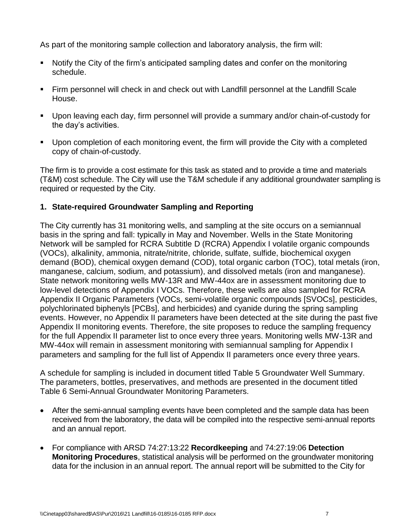As part of the monitoring sample collection and laboratory analysis, the firm will:

- Notify the City of the firm's anticipated sampling dates and confer on the monitoring schedule.
- Firm personnel will check in and check out with Landfill personnel at the Landfill Scale House.
- Upon leaving each day, firm personnel will provide a summary and/or chain-of-custody for the day's activities.
- **Upon completion of each monitoring event, the firm will provide the City with a completed** copy of chain-of-custody.

The firm is to provide a cost estimate for this task as stated and to provide a time and materials (T&M) cost schedule. The City will use the T&M schedule if any additional groundwater sampling is required or requested by the City.

# **1. State-required Groundwater Sampling and Reporting**

The City currently has 31 monitoring wells, and sampling at the site occurs on a semiannual basis in the spring and fall: typically in May and November. Wells in the State Monitoring Network will be sampled for RCRA Subtitle D (RCRA) Appendix I volatile organic compounds (VOCs), alkalinity, ammonia, nitrate/nitrite, chloride, sulfate, sulfide, biochemical oxygen demand (BOD), chemical oxygen demand (COD), total organic carbon (TOC), total metals (iron, manganese, calcium, sodium, and potassium), and dissolved metals (iron and manganese). State network monitoring wells MW-13R and MW-44ox are in assessment monitoring due to low-level detections of Appendix I VOCs. Therefore, these wells are also sampled for RCRA Appendix II Organic Parameters (VOCs, semi-volatile organic compounds [SVOCs], pesticides, polychlorinated biphenyls [PCBs], and herbicides) and cyanide during the spring sampling events. However, no Appendix II parameters have been detected at the site during the past five Appendix II monitoring events. Therefore, the site proposes to reduce the sampling frequency for the full Appendix II parameter list to once every three years. Monitoring wells MW-13R and MW-44ox will remain in assessment monitoring with semiannual sampling for Appendix I parameters and sampling for the full list of Appendix II parameters once every three years.

A schedule for sampling is included in document titled Table 5 Groundwater Well Summary. The parameters, bottles, preservatives, and methods are presented in the document titled Table 6 Semi-Annual Groundwater Monitoring Parameters.

- After the semi-annual sampling events have been completed and the sample data has been received from the laboratory, the data will be compiled into the respective semi-annual reports and an annual report.
- For compliance with ARSD 74:27:13:22 **Recordkeeping** and 74:27:19:06 **Detection Monitoring Procedures**, statistical analysis will be performed on the groundwater monitoring data for the inclusion in an annual report. The annual report will be submitted to the City for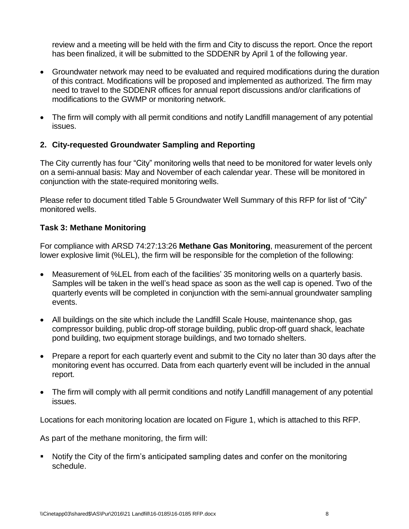review and a meeting will be held with the firm and City to discuss the report. Once the report has been finalized, it will be submitted to the SDDENR by April 1 of the following year.

- Groundwater network may need to be evaluated and required modifications during the duration of this contract. Modifications will be proposed and implemented as authorized. The firm may need to travel to the SDDENR offices for annual report discussions and/or clarifications of modifications to the GWMP or monitoring network.
- The firm will comply with all permit conditions and notify Landfill management of any potential issues.

# **2. City-requested Groundwater Sampling and Reporting**

The City currently has four "City" monitoring wells that need to be monitored for water levels only on a semi-annual basis: May and November of each calendar year. These will be monitored in conjunction with the state-required monitoring wells.

Please refer to document titled Table 5 Groundwater Well Summary of this RFP for list of "City" monitored wells.

# **Task 3: Methane Monitoring**

For compliance with ARSD 74:27:13:26 **Methane Gas Monitoring**, measurement of the percent lower explosive limit (%LEL), the firm will be responsible for the completion of the following:

- Measurement of %LEL from each of the facilities' 35 monitoring wells on a quarterly basis. Samples will be taken in the well's head space as soon as the well cap is opened. Two of the quarterly events will be completed in conjunction with the semi-annual groundwater sampling events.
- All buildings on the site which include the Landfill Scale House, maintenance shop, gas compressor building, public drop-off storage building, public drop-off guard shack, leachate pond building, two equipment storage buildings, and two tornado shelters.
- Prepare a report for each quarterly event and submit to the City no later than 30 days after the monitoring event has occurred. Data from each quarterly event will be included in the annual report.
- The firm will comply with all permit conditions and notify Landfill management of any potential issues.

Locations for each monitoring location are located on Figure 1, which is attached to this RFP.

As part of the methane monitoring, the firm will:

 Notify the City of the firm's anticipated sampling dates and confer on the monitoring schedule.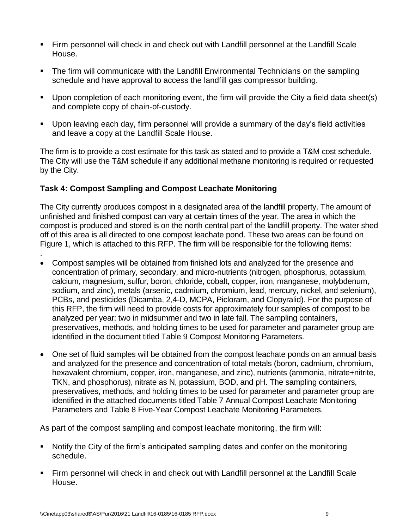- Firm personnel will check in and check out with Landfill personnel at the Landfill Scale House.
- The firm will communicate with the Landfill Environmental Technicians on the sampling schedule and have approval to access the landfill gas compressor building.
- **Upon completion of each monitoring event, the firm will provide the City a field data sheet(s)** and complete copy of chain-of-custody.
- Upon leaving each day, firm personnel will provide a summary of the day's field activities and leave a copy at the Landfill Scale House.

The firm is to provide a cost estimate for this task as stated and to provide a T&M cost schedule. The City will use the T&M schedule if any additional methane monitoring is required or requested by the City.

# **Task 4: Compost Sampling and Compost Leachate Monitoring**

The City currently produces compost in a designated area of the landfill property. The amount of unfinished and finished compost can vary at certain times of the year. The area in which the compost is produced and stored is on the north central part of the landfill property. The water shed off of this area is all directed to one compost leachate pond. These two areas can be found on Figure 1, which is attached to this RFP. The firm will be responsible for the following items:

- . Compost samples will be obtained from finished lots and analyzed for the presence and concentration of primary, secondary, and micro-nutrients (nitrogen, phosphorus, potassium, calcium, magnesium, sulfur, boron, chloride, cobalt, copper, iron, manganese, molybdenum, sodium, and zinc), metals (arsenic, cadmium, chromium, lead, mercury, nickel, and selenium), PCBs, and pesticides (Dicamba, 2,4-D, MCPA, Picloram, and Clopyralid). For the purpose of this RFP, the firm will need to provide costs for approximately four samples of compost to be analyzed per year: two in midsummer and two in late fall. The sampling containers, preservatives, methods, and holding times to be used for parameter and parameter group are identified in the document titled Table 9 Compost Monitoring Parameters.
- One set of fluid samples will be obtained from the compost leachate ponds on an annual basis and analyzed for the presence and concentration of total metals (boron, cadmium, chromium, hexavalent chromium, copper, iron, manganese, and zinc), nutrients (ammonia, nitrate+nitrite, TKN, and phosphorus), nitrate as N, potassium, BOD, and pH. The sampling containers, preservatives, methods, and holding times to be used for parameter and parameter group are identified in the attached documents titled Table 7 Annual Compost Leachate Monitoring Parameters and Table 8 Five-Year Compost Leachate Monitoring Parameters.

As part of the compost sampling and compost leachate monitoring, the firm will:

- Notify the City of the firm's anticipated sampling dates and confer on the monitoring schedule.
- Firm personnel will check in and check out with Landfill personnel at the Landfill Scale House.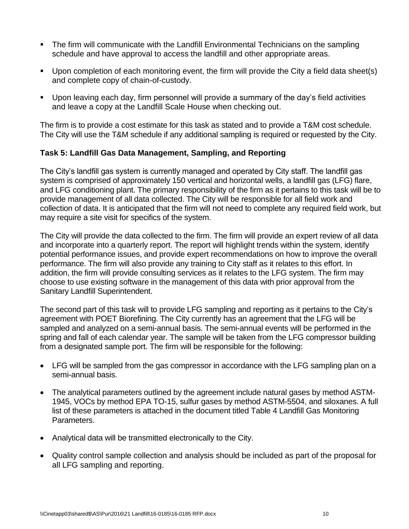- The firm will communicate with the Landfill Environmental Technicians on the sampling schedule and have approval to access the landfill and other appropriate areas.
- Upon completion of each monitoring event, the firm will provide the City a field data sheet(s) and complete copy of chain-of-custody.
- Upon leaving each day, firm personnel will provide a summary of the day's field activities and leave a copy at the Landfill Scale House when checking out.

The firm is to provide a cost estimate for this task as stated and to provide a T&M cost schedule. The City will use the T&M schedule if any additional sampling is required or requested by the City.

# **Task 5: Landfill Gas Data Management, Sampling, and Reporting**

The City's landfill gas system is currently managed and operated by City staff. The landfill gas system is comprised of approximately 150 vertical and horizontal wells, a landfill gas (LFG) flare, and LFG conditioning plant. The primary responsibility of the firm as it pertains to this task will be to provide management of all data collected. The City will be responsible for all field work and collection of data. It is anticipated that the firm will not need to complete any required field work, but may require a site visit for specifics of the system.

The City will provide the data collected to the firm. The firm will provide an expert review of all data and incorporate into a quarterly report. The report will highlight trends within the system, identify potential performance issues, and provide expert recommendations on how to improve the overall performance. The firm will also provide any training to City staff as it relates to this effort. In addition, the firm will provide consulting services as it relates to the LFG system. The firm may choose to use existing software in the management of this data with prior approval from the Sanitary Landfill Superintendent.

The second part of this task will to provide LFG sampling and reporting as it pertains to the City's agreement with POET Biorefining. The City currently has an agreement that the LFG will be sampled and analyzed on a semi-annual basis. The semi-annual events will be performed in the spring and fall of each calendar year. The sample will be taken from the LFG compressor building from a designated sample port. The firm will be responsible for the following:

- LFG will be sampled from the gas compressor in accordance with the LFG sampling plan on a semi-annual basis.
- The analytical parameters outlined by the agreement include natural gases by method ASTM-1945, VOCs by method EPA TO-15, sulfur gases by method ASTM-5504, and siloxanes. A full list of these parameters is attached in the document titled Table 4 Landfill Gas Monitoring Parameters.
- Analytical data will be transmitted electronically to the City.
- Quality control sample collection and analysis should be included as part of the proposal for all LFG sampling and reporting.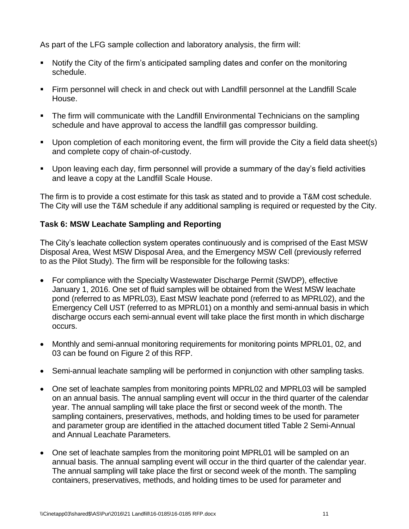As part of the LFG sample collection and laboratory analysis, the firm will:

- Notify the City of the firm's anticipated sampling dates and confer on the monitoring schedule.
- Firm personnel will check in and check out with Landfill personnel at the Landfill Scale House.
- The firm will communicate with the Landfill Environmental Technicians on the sampling schedule and have approval to access the landfill gas compressor building.
- Upon completion of each monitoring event, the firm will provide the City a field data sheet(s) and complete copy of chain-of-custody.
- Upon leaving each day, firm personnel will provide a summary of the day's field activities and leave a copy at the Landfill Scale House.

The firm is to provide a cost estimate for this task as stated and to provide a T&M cost schedule. The City will use the T&M schedule if any additional sampling is required or requested by the City.

# **Task 6: MSW Leachate Sampling and Reporting**

The City's leachate collection system operates continuously and is comprised of the East MSW Disposal Area, West MSW Disposal Area, and the Emergency MSW Cell (previously referred to as the Pilot Study). The firm will be responsible for the following tasks:

- For compliance with the Specialty Wastewater Discharge Permit (SWDP), effective January 1, 2016. One set of fluid samples will be obtained from the West MSW leachate pond (referred to as MPRL03), East MSW leachate pond (referred to as MPRL02), and the Emergency Cell UST (referred to as MPRL01) on a monthly and semi-annual basis in which discharge occurs each semi-annual event will take place the first month in which discharge occurs.
- Monthly and semi-annual monitoring requirements for monitoring points MPRL01, 02, and 03 can be found on Figure 2 of this RFP.
- Semi-annual leachate sampling will be performed in conjunction with other sampling tasks.
- One set of leachate samples from monitoring points MPRL02 and MPRL03 will be sampled on an annual basis. The annual sampling event will occur in the third quarter of the calendar year. The annual sampling will take place the first or second week of the month. The sampling containers, preservatives, methods, and holding times to be used for parameter and parameter group are identified in the attached document titled Table 2 Semi-Annual and Annual Leachate Parameters.
- One set of leachate samples from the monitoring point MPRL01 will be sampled on an annual basis. The annual sampling event will occur in the third quarter of the calendar year. The annual sampling will take place the first or second week of the month. The sampling containers, preservatives, methods, and holding times to be used for parameter and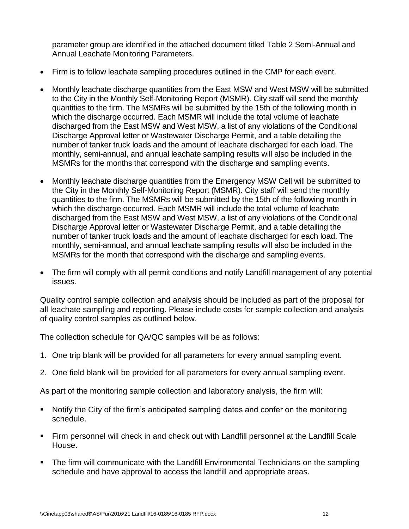parameter group are identified in the attached document titled Table 2 Semi-Annual and Annual Leachate Monitoring Parameters.

- Firm is to follow leachate sampling procedures outlined in the CMP for each event.
- Monthly leachate discharge quantities from the East MSW and West MSW will be submitted to the City in the Monthly Self-Monitoring Report (MSMR). City staff will send the monthly quantities to the firm. The MSMRs will be submitted by the 15th of the following month in which the discharge occurred. Each MSMR will include the total volume of leachate discharged from the East MSW and West MSW, a list of any violations of the Conditional Discharge Approval letter or Wastewater Discharge Permit, and a table detailing the number of tanker truck loads and the amount of leachate discharged for each load. The monthly, semi-annual, and annual leachate sampling results will also be included in the MSMRs for the months that correspond with the discharge and sampling events.
- Monthly leachate discharge quantities from the Emergency MSW Cell will be submitted to the City in the Monthly Self-Monitoring Report (MSMR). City staff will send the monthly quantities to the firm. The MSMRs will be submitted by the 15th of the following month in which the discharge occurred. Each MSMR will include the total volume of leachate discharged from the East MSW and West MSW, a list of any violations of the Conditional Discharge Approval letter or Wastewater Discharge Permit, and a table detailing the number of tanker truck loads and the amount of leachate discharged for each load. The monthly, semi-annual, and annual leachate sampling results will also be included in the MSMRs for the month that correspond with the discharge and sampling events.
- The firm will comply with all permit conditions and notify Landfill management of any potential issues.

Quality control sample collection and analysis should be included as part of the proposal for all leachate sampling and reporting. Please include costs for sample collection and analysis of quality control samples as outlined below.

The collection schedule for QA/QC samples will be as follows:

- 1. One trip blank will be provided for all parameters for every annual sampling event.
- 2. One field blank will be provided for all parameters for every annual sampling event.

As part of the monitoring sample collection and laboratory analysis, the firm will:

- Notify the City of the firm's anticipated sampling dates and confer on the monitoring schedule.
- Firm personnel will check in and check out with Landfill personnel at the Landfill Scale House.
- The firm will communicate with the Landfill Environmental Technicians on the sampling schedule and have approval to access the landfill and appropriate areas.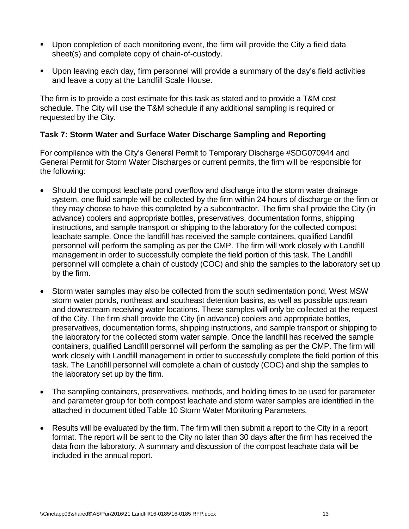- Upon completion of each monitoring event, the firm will provide the City a field data sheet(s) and complete copy of chain-of-custody.
- Upon leaving each day, firm personnel will provide a summary of the day's field activities and leave a copy at the Landfill Scale House.

The firm is to provide a cost estimate for this task as stated and to provide a T&M cost schedule. The City will use the T&M schedule if any additional sampling is required or requested by the City.

### **Task 7: Storm Water and Surface Water Discharge Sampling and Reporting**

For compliance with the City's General Permit to Temporary Discharge #SDG070944 and General Permit for Storm Water Discharges or current permits, the firm will be responsible for the following:

- Should the compost leachate pond overflow and discharge into the storm water drainage system, one fluid sample will be collected by the firm within 24 hours of discharge or the firm or they may choose to have this completed by a subcontractor. The firm shall provide the City (in advance) coolers and appropriate bottles, preservatives, documentation forms, shipping instructions, and sample transport or shipping to the laboratory for the collected compost leachate sample. Once the landfill has received the sample containers, qualified Landfill personnel will perform the sampling as per the CMP. The firm will work closely with Landfill management in order to successfully complete the field portion of this task. The Landfill personnel will complete a chain of custody (COC) and ship the samples to the laboratory set up by the firm.
- Storm water samples may also be collected from the south sedimentation pond, West MSW storm water ponds, northeast and southeast detention basins, as well as possible upstream and downstream receiving water locations. These samples will only be collected at the request of the City. The firm shall provide the City (in advance) coolers and appropriate bottles, preservatives, documentation forms, shipping instructions, and sample transport or shipping to the laboratory for the collected storm water sample. Once the landfill has received the sample containers, qualified Landfill personnel will perform the sampling as per the CMP. The firm will work closely with Landfill management in order to successfully complete the field portion of this task. The Landfill personnel will complete a chain of custody (COC) and ship the samples to the laboratory set up by the firm.
- The sampling containers, preservatives, methods, and holding times to be used for parameter and parameter group for both compost leachate and storm water samples are identified in the attached in document titled Table 10 Storm Water Monitoring Parameters.
- Results will be evaluated by the firm. The firm will then submit a report to the City in a report format. The report will be sent to the City no later than 30 days after the firm has received the data from the laboratory. A summary and discussion of the compost leachate data will be included in the annual report.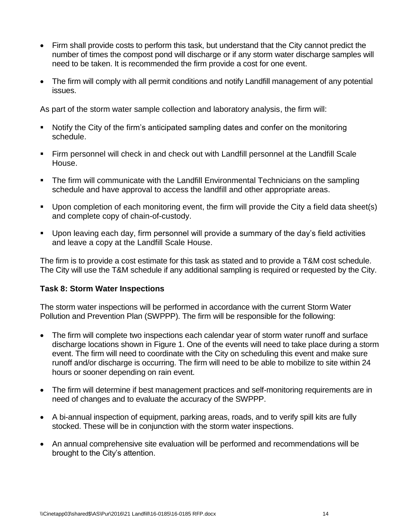- Firm shall provide costs to perform this task, but understand that the City cannot predict the number of times the compost pond will discharge or if any storm water discharge samples will need to be taken. It is recommended the firm provide a cost for one event.
- The firm will comply with all permit conditions and notify Landfill management of any potential issues.

As part of the storm water sample collection and laboratory analysis, the firm will:

- Notify the City of the firm's anticipated sampling dates and confer on the monitoring schedule.
- Firm personnel will check in and check out with Landfill personnel at the Landfill Scale House.
- The firm will communicate with the Landfill Environmental Technicians on the sampling schedule and have approval to access the landfill and other appropriate areas.
- Upon completion of each monitoring event, the firm will provide the City a field data sheet(s) and complete copy of chain-of-custody.
- Upon leaving each day, firm personnel will provide a summary of the day's field activities and leave a copy at the Landfill Scale House.

The firm is to provide a cost estimate for this task as stated and to provide a T&M cost schedule. The City will use the T&M schedule if any additional sampling is required or requested by the City.

# **Task 8: Storm Water Inspections**

The storm water inspections will be performed in accordance with the current Storm Water Pollution and Prevention Plan (SWPPP). The firm will be responsible for the following:

- The firm will complete two inspections each calendar year of storm water runoff and surface discharge locations shown in Figure 1. One of the events will need to take place during a storm event. The firm will need to coordinate with the City on scheduling this event and make sure runoff and/or discharge is occurring. The firm will need to be able to mobilize to site within 24 hours or sooner depending on rain event.
- The firm will determine if best management practices and self-monitoring requirements are in need of changes and to evaluate the accuracy of the SWPPP.
- A bi-annual inspection of equipment, parking areas, roads, and to verify spill kits are fully stocked. These will be in conjunction with the storm water inspections.
- An annual comprehensive site evaluation will be performed and recommendations will be brought to the City's attention.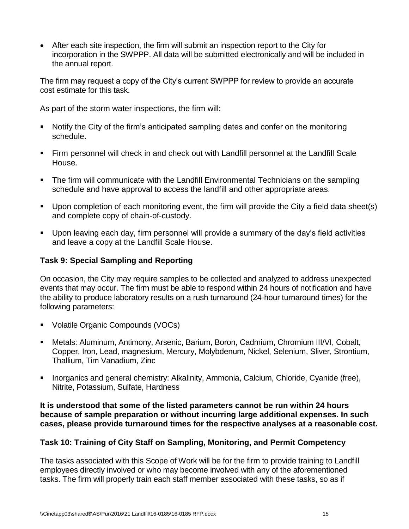After each site inspection, the firm will submit an inspection report to the City for incorporation in the SWPPP. All data will be submitted electronically and will be included in the annual report.

The firm may request a copy of the City's current SWPPP for review to provide an accurate cost estimate for this task.

As part of the storm water inspections, the firm will:

- Notify the City of the firm's anticipated sampling dates and confer on the monitoring schedule.
- Firm personnel will check in and check out with Landfill personnel at the Landfill Scale House.
- The firm will communicate with the Landfill Environmental Technicians on the sampling schedule and have approval to access the landfill and other appropriate areas.
- Upon completion of each monitoring event, the firm will provide the City a field data sheet(s) and complete copy of chain-of-custody.
- Upon leaving each day, firm personnel will provide a summary of the day's field activities and leave a copy at the Landfill Scale House.

# **Task 9: Special Sampling and Reporting**

On occasion, the City may require samples to be collected and analyzed to address unexpected events that may occur. The firm must be able to respond within 24 hours of notification and have the ability to produce laboratory results on a rush turnaround (24-hour turnaround times) for the following parameters:

- Volatile Organic Compounds (VOCs)
- Metals: Aluminum, Antimony, Arsenic, Barium, Boron, Cadmium, Chromium III/VI, Cobalt, Copper, Iron, Lead, magnesium, Mercury, Molybdenum, Nickel, Selenium, Sliver, Strontium, Thallium, Tim Vanadium, Zinc
- **Inorganics and general chemistry: Alkalinity, Ammonia, Calcium, Chloride, Cyanide (free),** Nitrite, Potassium, Sulfate, Hardness

**It is understood that some of the listed parameters cannot be run within 24 hours because of sample preparation or without incurring large additional expenses. In such cases, please provide turnaround times for the respective analyses at a reasonable cost.** 

### **Task 10: Training of City Staff on Sampling, Monitoring, and Permit Competency**

The tasks associated with this Scope of Work will be for the firm to provide training to Landfill employees directly involved or who may become involved with any of the aforementioned tasks. The firm will properly train each staff member associated with these tasks, so as if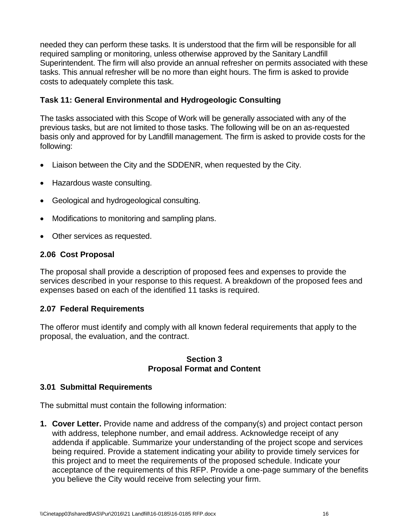needed they can perform these tasks. It is understood that the firm will be responsible for all required sampling or monitoring, unless otherwise approved by the Sanitary Landfill Superintendent. The firm will also provide an annual refresher on permits associated with these tasks. This annual refresher will be no more than eight hours. The firm is asked to provide costs to adequately complete this task.

## **Task 11: General Environmental and Hydrogeologic Consulting**

The tasks associated with this Scope of Work will be generally associated with any of the previous tasks, but are not limited to those tasks. The following will be on an as-requested basis only and approved for by Landfill management. The firm is asked to provide costs for the following:

- Liaison between the City and the SDDENR, when requested by the City.
- Hazardous waste consulting.
- Geological and hydrogeological consulting.
- Modifications to monitoring and sampling plans.
- Other services as requested.

# <span id="page-18-0"></span>**2.06 Cost Proposal**

The proposal shall provide a description of proposed fees and expenses to provide the services described in your response to this request. A breakdown of the proposed fees and expenses based on each of the identified 11 tasks is required.

### <span id="page-18-1"></span>**2.07 Federal Requirements**

The offeror must identify and comply with all known federal requirements that apply to the proposal, the evaluation, and the contract.

#### **Section 3 Proposal Format and Content**

### <span id="page-18-3"></span><span id="page-18-2"></span>**3.01 Submittal Requirements**

The submittal must contain the following information:

**1. Cover Letter.** Provide name and address of the company(s) and project contact person with address, telephone number, and email address. Acknowledge receipt of any addenda if applicable. Summarize your understanding of the project scope and services being required. Provide a statement indicating your ability to provide timely services for this project and to meet the requirements of the proposed schedule. Indicate your acceptance of the requirements of this RFP. Provide a one-page summary of the benefits you believe the City would receive from selecting your firm.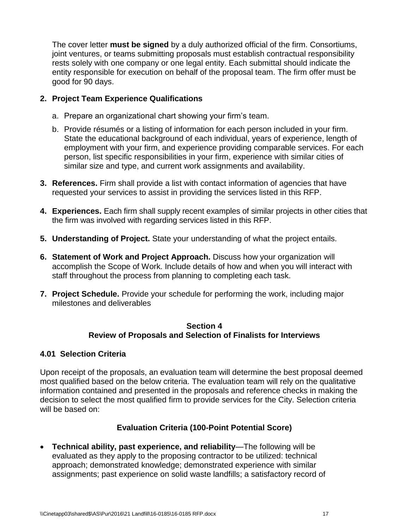The cover letter **must be signed** by a duly authorized official of the firm. Consortiums, joint ventures, or teams submitting proposals must establish contractual responsibility rests solely with one company or one legal entity. Each submittal should indicate the entity responsible for execution on behalf of the proposal team. The firm offer must be good for 90 days.

# **2. Project Team Experience Qualifications**

- a. Prepare an organizational chart showing your firm's team.
- b. Provide résumés or a listing of information for each person included in your firm. State the educational background of each individual, years of experience, length of employment with your firm, and experience providing comparable services. For each person, list specific responsibilities in your firm, experience with similar cities of similar size and type, and current work assignments and availability.
- **3. References.** Firm shall provide a list with contact information of agencies that have requested your services to assist in providing the services listed in this RFP.
- **4. Experiences.** Each firm shall supply recent examples of similar projects in other cities that the firm was involved with regarding services listed in this RFP.
- **5. Understanding of Project.** State your understanding of what the project entails.
- **6. Statement of Work and Project Approach.** Discuss how your organization will accomplish the Scope of Work. Include details of how and when you will interact with staff throughout the process from planning to completing each task.
- **7. Project Schedule.** Provide your schedule for performing the work, including major milestones and deliverables

#### **Section 4 Review of Proposals and Selection of Finalists for Interviews**

### <span id="page-19-1"></span><span id="page-19-0"></span>**4.01 Selection Criteria**

Upon receipt of the proposals, an evaluation team will determine the best proposal deemed most qualified based on the below criteria. The evaluation team will rely on the qualitative information contained and presented in the proposals and reference checks in making the decision to select the most qualified firm to provide services for the City. Selection criteria will be based on:

### **Evaluation Criteria (100-Point Potential Score)**

 **Technical ability, past experience, and reliability**—The following will be evaluated as they apply to the proposing contractor to be utilized: technical approach; demonstrated knowledge; demonstrated experience with similar assignments; past experience on solid waste landfills; a satisfactory record of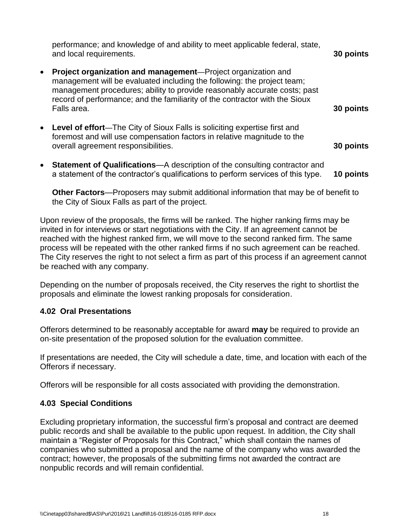|           | performance; and knowledge of and ability to meet applicable federal, state,<br>and local requirements.                                                                                                                                                                                                                    | 30 points |
|-----------|----------------------------------------------------------------------------------------------------------------------------------------------------------------------------------------------------------------------------------------------------------------------------------------------------------------------------|-----------|
| $\bullet$ | <b>Project organization and management</b> —Project organization and<br>management will be evaluated including the following: the project team;<br>management procedures; ability to provide reasonably accurate costs; past<br>record of performance; and the familiarity of the contractor with the Sioux<br>Falls area. | 30 points |
| $\bullet$ | Level of effort—The City of Sioux Falls is soliciting expertise first and<br>foremost and will use compensation factors in relative magnitude to the<br>overall agreement responsibilities.                                                                                                                                | 30 points |
| $\bullet$ | Statement of Qualifications-A description of the consulting contractor and<br>a statement of the contractor's qualifications to perform services of this type.                                                                                                                                                             | 10 points |

**Other Factors**—Proposers may submit additional information that may be of benefit to the City of Sioux Falls as part of the project.

Upon review of the proposals, the firms will be ranked. The higher ranking firms may be invited in for interviews or start negotiations with the City. If an agreement cannot be reached with the highest ranked firm, we will move to the second ranked firm. The same process will be repeated with the other ranked firms if no such agreement can be reached. The City reserves the right to not select a firm as part of this process if an agreement cannot be reached with any company.

Depending on the number of proposals received, the City reserves the right to shortlist the proposals and eliminate the lowest ranking proposals for consideration.

### <span id="page-20-0"></span>**4.02 Oral Presentations**

Offerors determined to be reasonably acceptable for award **may** be required to provide an on-site presentation of the proposed solution for the evaluation committee.

If presentations are needed, the City will schedule a date, time, and location with each of the Offerors if necessary.

Offerors will be responsible for all costs associated with providing the demonstration.

### <span id="page-20-1"></span>**4.03 Special Conditions**

Excluding proprietary information, the successful firm's proposal and contract are deemed public records and shall be available to the public upon request. In addition, the City shall maintain a "Register of Proposals for this Contract," which shall contain the names of companies who submitted a proposal and the name of the company who was awarded the contract; however, the proposals of the submitting firms not awarded the contract are nonpublic records and will remain confidential.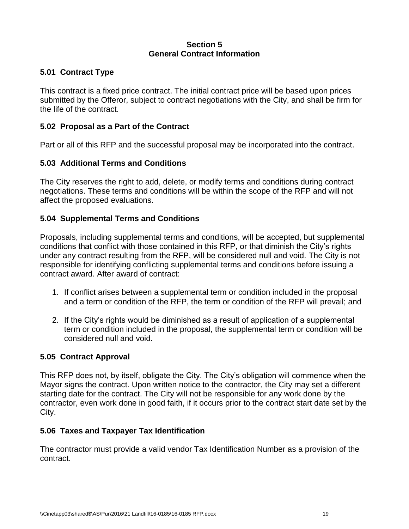#### **Section 5 General Contract Information**

# <span id="page-21-1"></span><span id="page-21-0"></span>**5.01 Contract Type**

This contract is a fixed price contract. The initial contract price will be based upon prices submitted by the Offeror, subject to contract negotiations with the City, and shall be firm for the life of the contract.

# <span id="page-21-2"></span>**5.02 Proposal as a Part of the Contract**

Part or all of this RFP and the successful proposal may be incorporated into the contract.

# <span id="page-21-3"></span>**5.03 Additional Terms and Conditions**

The City reserves the right to add, delete, or modify terms and conditions during contract negotiations. These terms and conditions will be within the scope of the RFP and will not affect the proposed evaluations.

# <span id="page-21-4"></span>**5.04 Supplemental Terms and Conditions**

Proposals, including supplemental terms and conditions, will be accepted, but supplemental conditions that conflict with those contained in this RFP, or that diminish the City's rights under any contract resulting from the RFP, will be considered null and void. The City is not responsible for identifying conflicting supplemental terms and conditions before issuing a contract award. After award of contract:

- 1. If conflict arises between a supplemental term or condition included in the proposal and a term or condition of the RFP, the term or condition of the RFP will prevail; and
- 2. If the City's rights would be diminished as a result of application of a supplemental term or condition included in the proposal, the supplemental term or condition will be considered null and void.

### <span id="page-21-5"></span>**5.05 Contract Approval**

This RFP does not, by itself, obligate the City. The City's obligation will commence when the Mayor signs the contract. Upon written notice to the contractor, the City may set a different starting date for the contract. The City will not be responsible for any work done by the contractor, even work done in good faith, if it occurs prior to the contract start date set by the City.

### <span id="page-21-6"></span>**5.06 Taxes and Taxpayer Tax Identification**

The contractor must provide a valid vendor Tax Identification Number as a provision of the contract.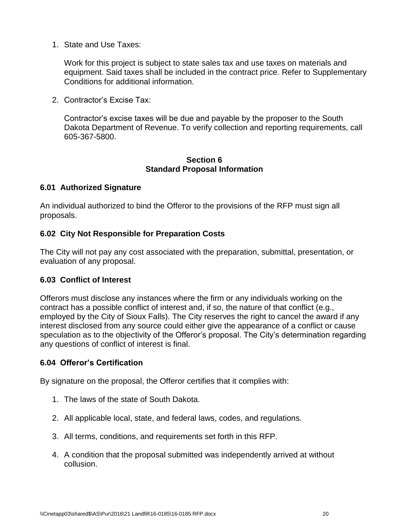1. State and Use Taxes:

Work for this project is subject to state sales tax and use taxes on materials and equipment. Said taxes shall be included in the contract price. Refer to Supplementary Conditions for additional information.

2. Contractor's Excise Tax:

Contractor's excise taxes will be due and payable by the proposer to the South Dakota Department of Revenue. To verify collection and reporting requirements, call 605-367-5800.

#### **Section 6 Standard Proposal Information**

#### <span id="page-22-1"></span><span id="page-22-0"></span>**6.01 Authorized Signature**

An individual authorized to bind the Offeror to the provisions of the RFP must sign all proposals.

### <span id="page-22-2"></span>**6.02 City Not Responsible for Preparation Costs**

The City will not pay any cost associated with the preparation, submittal, presentation, or evaluation of any proposal.

### <span id="page-22-3"></span>**6.03 Conflict of Interest**

Offerors must disclose any instances where the firm or any individuals working on the contract has a possible conflict of interest and, if so, the nature of that conflict (e.g., employed by the City of Sioux Falls). The City reserves the right to cancel the award if any interest disclosed from any source could either give the appearance of a conflict or cause speculation as to the objectivity of the Offeror's proposal. The City's determination regarding any questions of conflict of interest is final.

### <span id="page-22-4"></span>**6.04 Offeror's Certification**

By signature on the proposal, the Offeror certifies that it complies with:

- 1. The laws of the state of South Dakota.
- 2. All applicable local, state, and federal laws, codes, and regulations.
- 3. All terms, conditions, and requirements set forth in this RFP.
- 4. A condition that the proposal submitted was independently arrived at without collusion.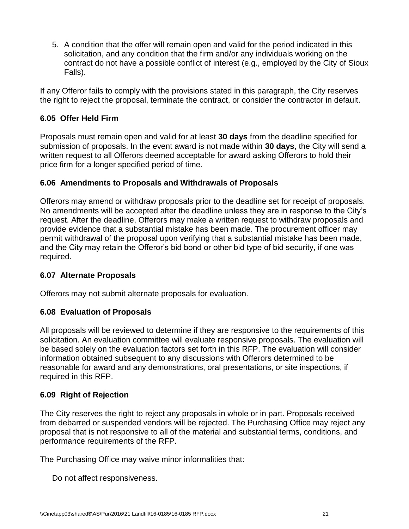5. A condition that the offer will remain open and valid for the period indicated in this solicitation, and any condition that the firm and/or any individuals working on the contract do not have a possible conflict of interest (e.g., employed by the City of Sioux Falls).

If any Offeror fails to comply with the provisions stated in this paragraph, the City reserves the right to reject the proposal, terminate the contract, or consider the contractor in default.

# <span id="page-23-0"></span>**6.05 Offer Held Firm**

Proposals must remain open and valid for at least **30 days** from the deadline specified for submission of proposals. In the event award is not made within **30 days**, the City will send a written request to all Offerors deemed acceptable for award asking Offerors to hold their price firm for a longer specified period of time.

### <span id="page-23-1"></span>**6.06 Amendments to Proposals and Withdrawals of Proposals**

Offerors may amend or withdraw proposals prior to the deadline set for receipt of proposals. No amendments will be accepted after the deadline unless they are in response to the City's request. After the deadline, Offerors may make a written request to withdraw proposals and provide evidence that a substantial mistake has been made. The procurement officer may permit withdrawal of the proposal upon verifying that a substantial mistake has been made, and the City may retain the Offeror's bid bond or other bid type of bid security, if one was required.

### <span id="page-23-2"></span>**6.07 Alternate Proposals**

Offerors may not submit alternate proposals for evaluation.

# <span id="page-23-3"></span>**6.08 Evaluation of Proposals**

All proposals will be reviewed to determine if they are responsive to the requirements of this solicitation. An evaluation committee will evaluate responsive proposals. The evaluation will be based solely on the evaluation factors set forth in this RFP. The evaluation will consider information obtained subsequent to any discussions with Offerors determined to be reasonable for award and any demonstrations, oral presentations, or site inspections, if required in this RFP.

### <span id="page-23-4"></span>**6.09 Right of Rejection**

The City reserves the right to reject any proposals in whole or in part. Proposals received from debarred or suspended vendors will be rejected. The Purchasing Office may reject any proposal that is not responsive to all of the material and substantial terms, conditions, and performance requirements of the RFP.

The Purchasing Office may waive minor informalities that:

Do not affect responsiveness.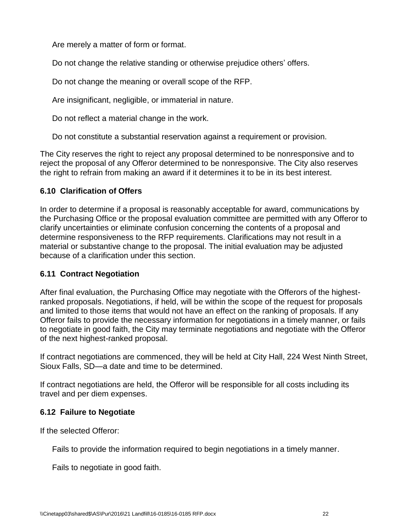Are merely a matter of form or format.

Do not change the relative standing or otherwise prejudice others' offers.

Do not change the meaning or overall scope of the RFP.

Are insignificant, negligible, or immaterial in nature.

Do not reflect a material change in the work.

Do not constitute a substantial reservation against a requirement or provision.

The City reserves the right to reject any proposal determined to be nonresponsive and to reject the proposal of any Offeror determined to be nonresponsive. The City also reserves the right to refrain from making an award if it determines it to be in its best interest.

### <span id="page-24-0"></span>**6.10 Clarification of Offers**

In order to determine if a proposal is reasonably acceptable for award, communications by the Purchasing Office or the proposal evaluation committee are permitted with any Offeror to clarify uncertainties or eliminate confusion concerning the contents of a proposal and determine responsiveness to the RFP requirements. Clarifications may not result in a material or substantive change to the proposal. The initial evaluation may be adjusted because of a clarification under this section.

### <span id="page-24-1"></span>**6.11 Contract Negotiation**

After final evaluation, the Purchasing Office may negotiate with the Offerors of the highestranked proposals. Negotiations, if held, will be within the scope of the request for proposals and limited to those items that would not have an effect on the ranking of proposals. If any Offeror fails to provide the necessary information for negotiations in a timely manner, or fails to negotiate in good faith, the City may terminate negotiations and negotiate with the Offeror of the next highest-ranked proposal.

If contract negotiations are commenced, they will be held at City Hall, 224 West Ninth Street, Sioux Falls, SD—a date and time to be determined.

If contract negotiations are held, the Offeror will be responsible for all costs including its travel and per diem expenses.

### <span id="page-24-2"></span>**6.12 Failure to Negotiate**

If the selected Offeror:

Fails to provide the information required to begin negotiations in a timely manner.

Fails to negotiate in good faith.